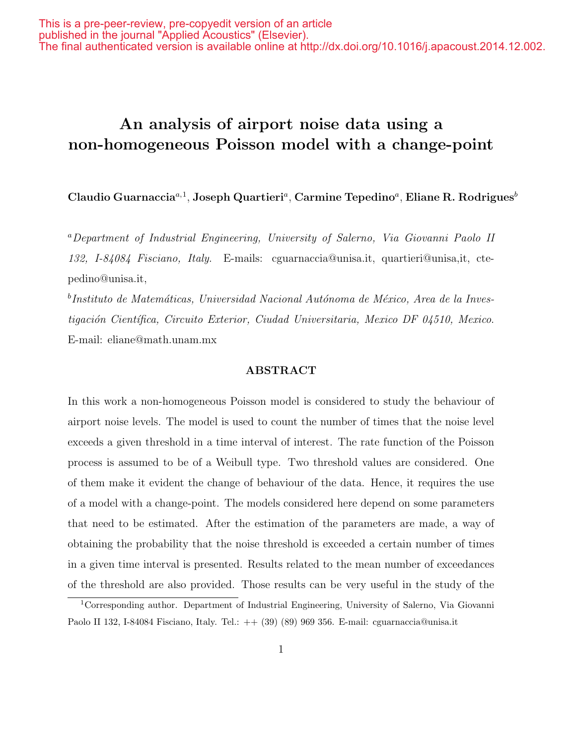# An analysis of airport noise data using a non-homogeneous Poisson model with a change-point

Claudio Guarnaccia $a,1}$ , Joseph Quartieri $a$ , Carmine Tepedino $a$ , Eliane R. Rodrigues $^b$ 

<sup>a</sup>Department of Industrial Engineering, University of Salerno, Via Giovanni Paolo II 132, I-84084 Fisciano, Italy. E-mails: cguarnaccia@unisa.it, quartieri@unisa,it, ctepedino@unisa.it,

 $^b$ Instituto de Matemáticas, Universidad Nacional Autónoma de México, Area de la Investigación Científica, Circuito Exterior, Ciudad Universitaria, Mexico DF 04510, Mexico. E-mail: eliane@math.unam.mx

#### ABSTRACT

In this work a non-homogeneous Poisson model is considered to study the behaviour of airport noise levels. The model is used to count the number of times that the noise level exceeds a given threshold in a time interval of interest. The rate function of the Poisson process is assumed to be of a Weibull type. Two threshold values are considered. One of them make it evident the change of behaviour of the data. Hence, it requires the use of a model with a change-point. The models considered here depend on some parameters that need to be estimated. After the estimation of the parameters are made, a way of obtaining the probability that the noise threshold is exceeded a certain number of times in a given time interval is presented. Results related to the mean number of exceedances of the threshold are also provided. Those results can be very useful in the study of the

<sup>1</sup>Corresponding author. Department of Industrial Engineering, University of Salerno, Via Giovanni Paolo II 132, I-84084 Fisciano, Italy. Tel.: ++ (39) (89) 969 356. E-mail: cguarnaccia@unisa.it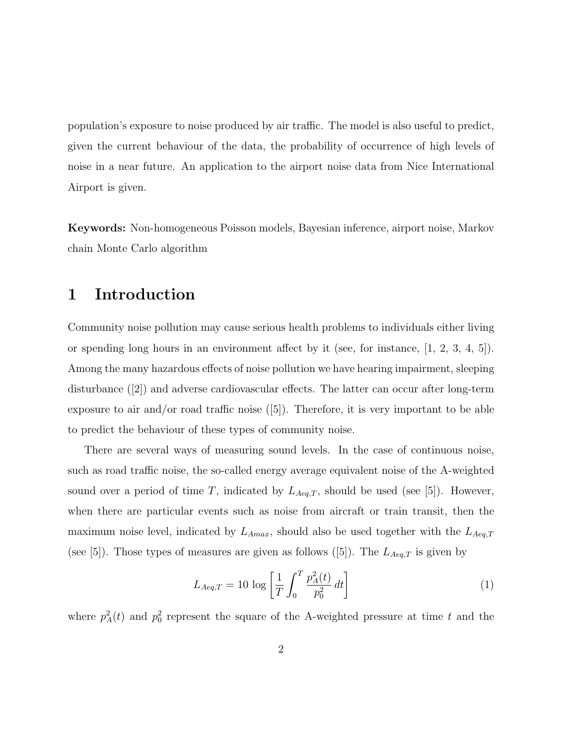population's exposure to noise produced by air traffic. The model is also useful to predict, given the current behaviour of the data, the probability of occurrence of high levels of noise in a near future. An application to the airport noise data from Nice International Airport is given.

Keywords: Non-homogeneous Poisson models, Bayesian inference, airport noise, Markov chain Monte Carlo algorithm

## 1 Introduction

Community noise pollution may cause serious health problems to individuals either living or spending long hours in an environment affect by it (see, for instance, [1, 2, 3, 4, 5]). Among the many hazardous effects of noise pollution we have hearing impairment, sleeping disturbance ([2]) and adverse cardiovascular effects. The latter can occur after long-term exposure to air and/or road traffic noise  $([5])$ . Therefore, it is very important to be able to predict the behaviour of these types of community noise.

There are several ways of measuring sound levels. In the case of continuous noise, such as road traffic noise, the so-called energy average equivalent noise of the A-weighted sound over a period of time T, indicated by  $L_{Aeq,T}$ , should be used (see [5]). However, when there are particular events such as noise from aircraft or train transit, then the maximum noise level, indicated by  $L_{Amax}$ , should also be used together with the  $L_{Aeq,T}$ (see [5]). Those types of measures are given as follows ([5]). The  $L_{Aeq,T}$  is given by

$$
L_{Aeq,T} = 10 \log \left[ \frac{1}{T} \int_0^T \frac{p_A^2(t)}{p_0^2} dt \right]
$$
 (1)

where  $p_A^2(t)$  and  $p_0^2$  represent the square of the A-weighted pressure at time t and the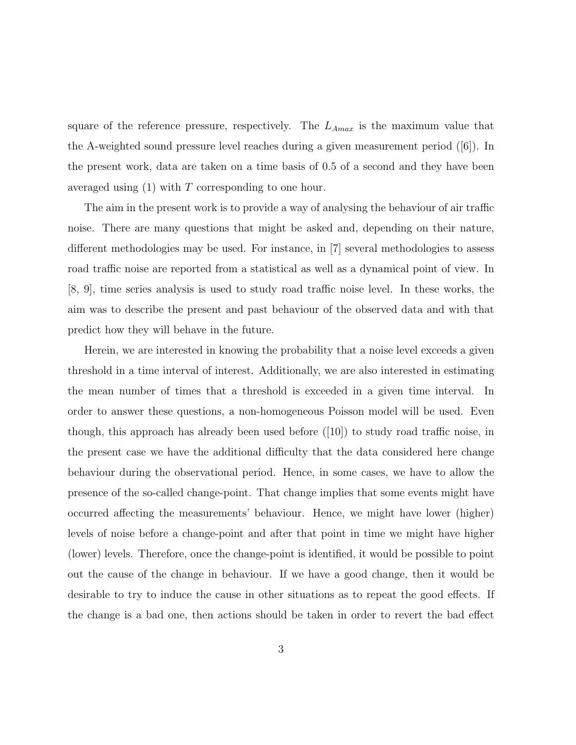square of the reference pressure, respectively. The  $L_{A max}$  is the maximum value that the A-weighted sound pressure level reaches during a given measurement period ([6]). In the present work, data are taken on a time basis of 0.5 of a second and they have been averaged using  $(1)$  with T corresponding to one hour.

The aim in the present work is to provide a way of analysing the behaviour of air traffic noise. There are many questions that might be asked and, depending on their nature, different methodologies may be used. For instance, in [7] several methodologies to assess road traffic noise are reported from a statistical as well as a dynamical point of view. In [8, 9], time series analysis is used to study road traffic noise level. In these works, the aim was to describe the present and past behaviour of the observed data and with that predict how they will behave in the future.

Herein, we are interested in knowing the probability that a noise level exceeds a given threshold in a time interval of interest. Additionally, we are also interested in estimating the mean number of times that a threshold is exceeded in a given time interval. In order to answer these questions, a non-homogeneous Poisson model will be used. Even though, this approach has already been used before ([10]) to study road traffic noise, in the present case we have the additional difficulty that the data considered here change behaviour during the observational period. Hence, in some cases, we have to allow the presence of the so-called change-point. That change implies that some events might have occurred affecting the measurements' behaviour. Hence, we might have lower (higher) levels of noise before a change-point and after that point in time we might have higher (lower) levels. Therefore, once the change-point is identified, it would be possible to point out the cause of the change in behaviour. If we have a good change, then it would be desirable to try to induce the cause in other situations as to repeat the good effects. If the change is a bad one, then actions should be taken in order to revert the bad effect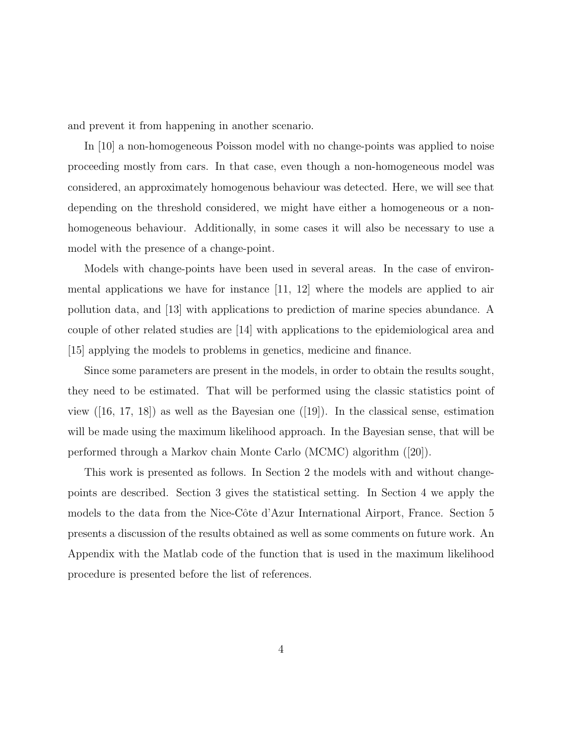and prevent it from happening in another scenario.

In [10] a non-homogeneous Poisson model with no change-points was applied to noise proceeding mostly from cars. In that case, even though a non-homogeneous model was considered, an approximately homogenous behaviour was detected. Here, we will see that depending on the threshold considered, we might have either a homogeneous or a nonhomogeneous behaviour. Additionally, in some cases it will also be necessary to use a model with the presence of a change-point.

Models with change-points have been used in several areas. In the case of environmental applications we have for instance [11, 12] where the models are applied to air pollution data, and [13] with applications to prediction of marine species abundance. A couple of other related studies are [14] with applications to the epidemiological area and [15] applying the models to problems in genetics, medicine and finance.

Since some parameters are present in the models, in order to obtain the results sought, they need to be estimated. That will be performed using the classic statistics point of view  $([16, 17, 18])$  as well as the Bayesian one  $([19])$ . In the classical sense, estimation will be made using the maximum likelihood approach. In the Bayesian sense, that will be performed through a Markov chain Monte Carlo (MCMC) algorithm ([20]).

This work is presented as follows. In Section 2 the models with and without changepoints are described. Section 3 gives the statistical setting. In Section 4 we apply the models to the data from the Nice-Côte d'Azur International Airport, France. Section 5 presents a discussion of the results obtained as well as some comments on future work. An Appendix with the Matlab code of the function that is used in the maximum likelihood procedure is presented before the list of references.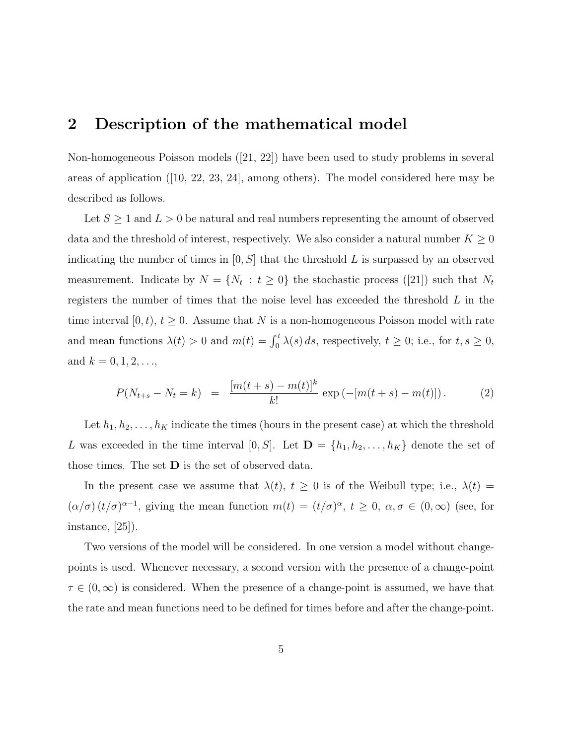## 2 Description of the mathematical model

Non-homogeneous Poisson models ([21, 22]) have been used to study problems in several areas of application ([10, 22, 23, 24], among others). The model considered here may be described as follows.

Let  $S \geq 1$  and  $L > 0$  be natural and real numbers representing the amount of observed data and the threshold of interest, respectively. We also consider a natural number  $K \geq 0$ indicating the number of times in  $[0, S]$  that the threshold L is surpassed by an observed measurement. Indicate by  $N = \{N_t : t \geq 0\}$  the stochastic process ([21]) such that  $N_t$ registers the number of times that the noise level has exceeded the threshold L in the time interval [0, t],  $t \geq 0$ . Assume that N is a non-homogeneous Poisson model with rate and mean functions  $\lambda(t) > 0$  and  $m(t) = \int_0^t \lambda(s) ds$ , respectively,  $t \geq 0$ ; i.e., for  $t, s \geq 0$ , and  $k = 0, 1, 2, ...,$ 

$$
P(N_{t+s} - N_t = k) = \frac{[m(t+s) - m(t)]^k}{k!} \exp(-[m(t+s) - m(t)]). \tag{2}
$$

Let  $h_1, h_2, \ldots, h_K$  indicate the times (hours in the present case) at which the threshold L was exceeded in the time interval [0, S]. Let  $\mathbf{D} = \{h_1, h_2, \ldots, h_K\}$  denote the set of those times. The set  $D$  is the set of observed data.

In the present case we assume that  $\lambda(t)$ ,  $t \geq 0$  is of the Weibull type; i.e.,  $\lambda(t)$  $(\alpha/\sigma) (t/\sigma)^{\alpha-1}$ , giving the mean function  $m(t) = (t/\sigma)^\alpha$ ,  $t \geq 0$ ,  $\alpha, \sigma \in (0,\infty)$  (see, for instance, [25]).

Two versions of the model will be considered. In one version a model without changepoints is used. Whenever necessary, a second version with the presence of a change-point  $\tau \in (0,\infty)$  is considered. When the presence of a change-point is assumed, we have that the rate and mean functions need to be defined for times before and after the change-point.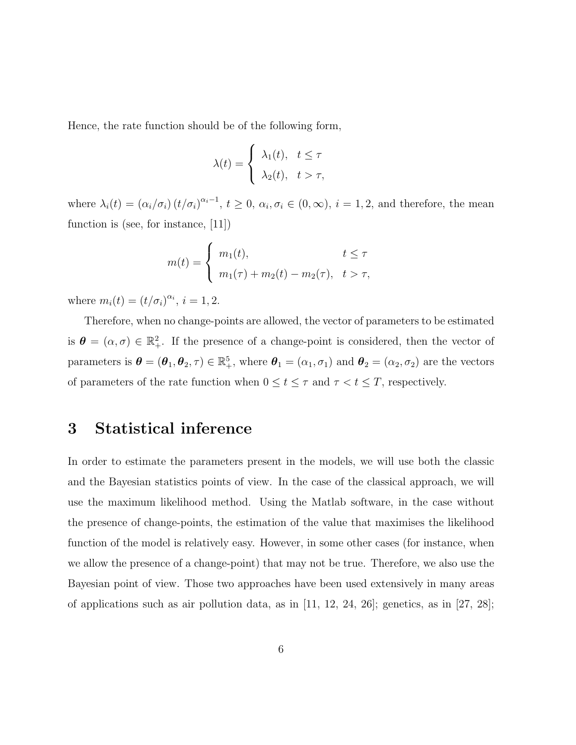Hence, the rate function should be of the following form,

$$
\lambda(t) = \begin{cases} \lambda_1(t), & t \leq \tau \\ \lambda_2(t), & t > \tau, \end{cases}
$$

where  $\lambda_i(t) = (\alpha_i/\sigma_i) (t/\sigma_i)^{\alpha_i-1}, t \geq 0, \alpha_i, \sigma_i \in (0, \infty), i = 1, 2$ , and therefore, the mean function is (see, for instance, [11])

$$
m(t) = \begin{cases} m_1(t), & t \le \tau \\ m_1(\tau) + m_2(t) - m_2(\tau), & t > \tau, \end{cases}
$$

where  $m_i(t) = (t/\sigma_i)^{\alpha_i}, i = 1, 2.$ 

Therefore, when no change-points are allowed, the vector of parameters to be estimated is  $\boldsymbol{\theta} = (\alpha, \sigma) \in \mathbb{R}^2_+$ . If the presence of a change-point is considered, then the vector of parameters is  $\boldsymbol{\theta} = (\boldsymbol{\theta}_1, \boldsymbol{\theta}_2, \tau) \in \mathbb{R}^5_+$ , where  $\boldsymbol{\theta}_1 = (\alpha_1, \sigma_1)$  and  $\boldsymbol{\theta}_2 = (\alpha_2, \sigma_2)$  are the vectors of parameters of the rate function when  $0 \le t \le \tau$  and  $\tau < t \le T$ , respectively.

## 3 Statistical inference

In order to estimate the parameters present in the models, we will use both the classic and the Bayesian statistics points of view. In the case of the classical approach, we will use the maximum likelihood method. Using the Matlab software, in the case without the presence of change-points, the estimation of the value that maximises the likelihood function of the model is relatively easy. However, in some other cases (for instance, when we allow the presence of a change-point) that may not be true. Therefore, we also use the Bayesian point of view. Those two approaches have been used extensively in many areas of applications such as air pollution data, as in  $[11, 12, 24, 26]$ ; genetics, as in  $[27, 28]$ ;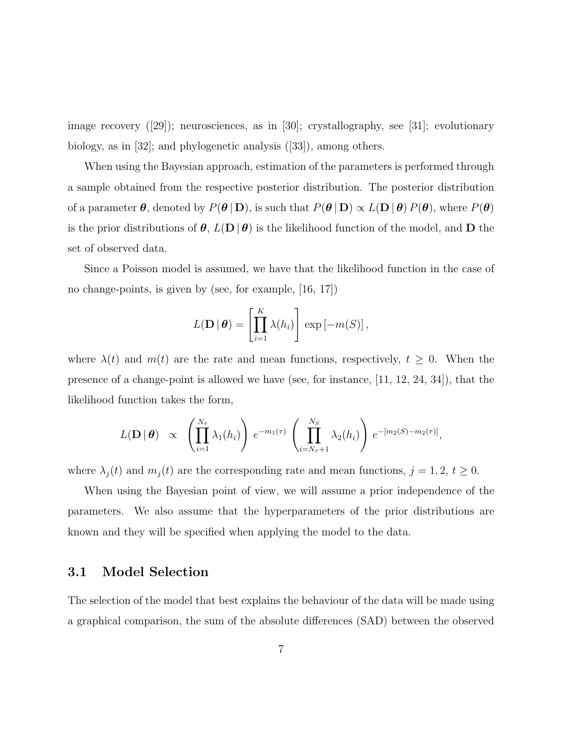image recovery ([29]); neurosciences, as in [30]; crystallography, see [31]; evolutionary biology, as in [32]; and phylogenetic analysis ([33]), among others.

When using the Bayesian approach, estimation of the parameters is performed through a sample obtained from the respective posterior distribution. The posterior distribution of a parameter  $\theta$ , denoted by  $P(\theta | \mathbf{D})$ , is such that  $P(\theta | \mathbf{D}) \propto L(\mathbf{D} | \theta) P(\theta)$ , where  $P(\theta)$ is the prior distributions of  $\theta$ ,  $L(\mathbf{D} | \theta)$  is the likelihood function of the model, and **D** the set of observed data.

Since a Poisson model is assumed, we have that the likelihood function in the case of no change-points, is given by (see, for example, [16, 17])

$$
L(\mathbf{D} \mid \boldsymbol{\theta}) = \left[ \prod_{i=1}^{K} \lambda(h_i) \right] \exp \left[ -m(S) \right],
$$

where  $\lambda(t)$  and  $m(t)$  are the rate and mean functions, respectively,  $t \geq 0$ . When the presence of a change-point is allowed we have (see, for instance, [11, 12, 24, 34]), that the likelihood function takes the form,

$$
L(\mathbf{D} \mid \boldsymbol{\theta}) \propto \left( \prod_{i=1}^{N_{\tau}} \lambda_1(h_i) \right) e^{-m_1(\tau)} \left( \prod_{i=N_{\tau}+1}^{N_S} \lambda_2(h_i) \right) e^{-[m_2(S)-m_2(\tau)]},
$$

where  $\lambda_j(t)$  and  $m_j(t)$  are the corresponding rate and mean functions,  $j = 1, 2, t \ge 0$ .

When using the Bayesian point of view, we will assume a prior independence of the parameters. We also assume that the hyperparameters of the prior distributions are known and they will be specified when applying the model to the data.

### 3.1 Model Selection

The selection of the model that best explains the behaviour of the data will be made using a graphical comparison, the sum of the absolute differences (SAD) between the observed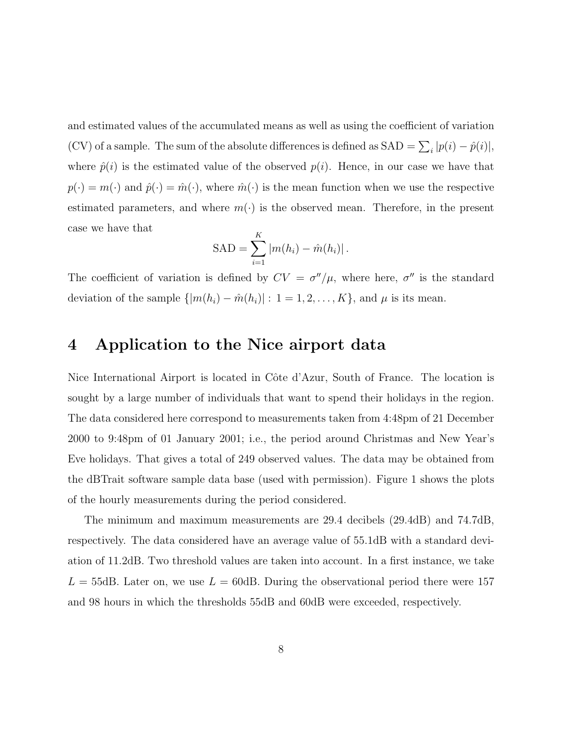and estimated values of the accumulated means as well as using the coefficient of variation (CV) of a sample. The sum of the absolute differences is defined as  $SAD = \sum_i |p(i) - \hat{p}(i)|$ , where  $\hat{p}(i)$  is the estimated value of the observed  $p(i)$ . Hence, in our case we have that  $p(\cdot) = m(\cdot)$  and  $\hat{p}(\cdot) = \hat{m}(\cdot)$ , where  $\hat{m}(\cdot)$  is the mean function when we use the respective estimated parameters, and where  $m(\cdot)$  is the observed mean. Therefore, in the present case we have that

$$
SAD = \sum_{i=1}^{K} |m(h_i) - \hat{m}(h_i)|.
$$

The coefficient of variation is defined by  $CV = \sigma''/\mu$ , where here,  $\sigma''$  is the standard deviation of the sample  $\{|m(h_i) - \hat{m}(h_i)| : 1 = 1, 2, ..., K\}$ , and  $\mu$  is its mean.

## 4 Application to the Nice airport data

Nice International Airport is located in Côte d'Azur, South of France. The location is sought by a large number of individuals that want to spend their holidays in the region. The data considered here correspond to measurements taken from 4:48pm of 21 December 2000 to 9:48pm of 01 January 2001; i.e., the period around Christmas and New Year's Eve holidays. That gives a total of 249 observed values. The data may be obtained from the dBTrait software sample data base (used with permission). Figure 1 shows the plots of the hourly measurements during the period considered.

The minimum and maximum measurements are 29.4 decibels (29.4dB) and 74.7dB, respectively. The data considered have an average value of 55.1dB with a standard deviation of 11.2dB. Two threshold values are taken into account. In a first instance, we take  $L = 55$ dB. Later on, we use  $L = 60$ dB. During the observational period there were 157 and 98 hours in which the thresholds 55dB and 60dB were exceeded, respectively.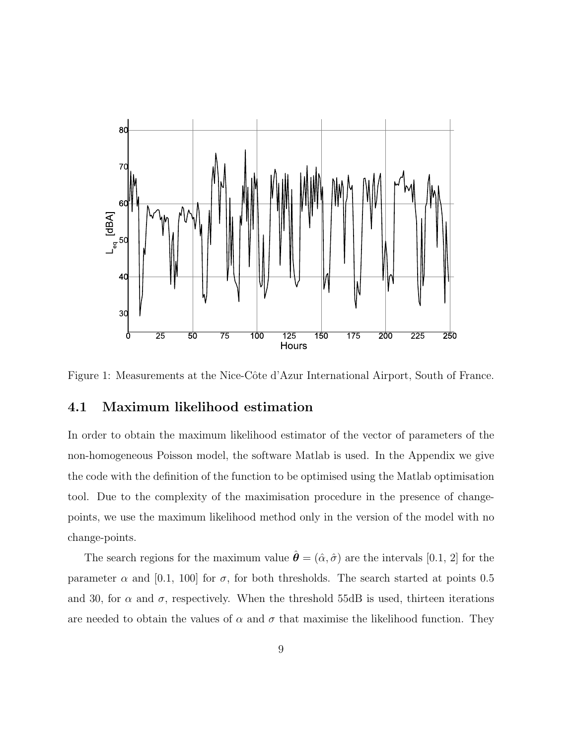

Figure 1: Measurements at the Nice-Côte d'Azur International Airport, South of France.

### 4.1 Maximum likelihood estimation

In order to obtain the maximum likelihood estimator of the vector of parameters of the non-homogeneous Poisson model, the software Matlab is used. In the Appendix we give the code with the definition of the function to be optimised using the Matlab optimisation tool. Due to the complexity of the maximisation procedure in the presence of changepoints, we use the maximum likelihood method only in the version of the model with no change-points.

The search regions for the maximum value  $\hat{\theta} = (\hat{\alpha}, \hat{\sigma})$  are the intervals [0.1, 2] for the parameter  $\alpha$  and [0.1, 100] for  $\sigma$ , for both thresholds. The search started at points 0.5 and 30, for  $\alpha$  and  $\sigma$ , respectively. When the threshold 55dB is used, thirteen iterations are needed to obtain the values of  $\alpha$  and  $\sigma$  that maximise the likelihood function. They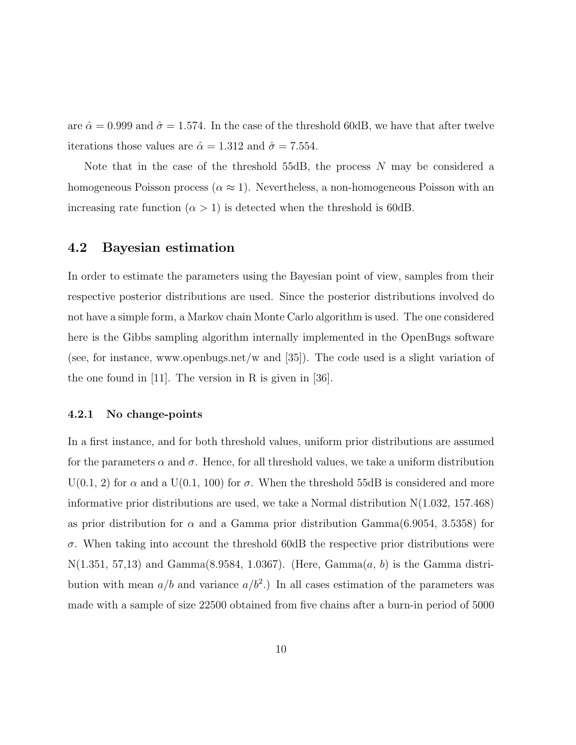are  $\hat{\alpha} = 0.999$  and  $\hat{\sigma} = 1.574$ . In the case of the threshold 60dB, we have that after twelve iterations those values are  $\hat{\alpha} = 1.312$  and  $\hat{\sigma} = 7.554$ .

Note that in the case of the threshold 55dB, the process N may be considered a homogeneous Poisson process ( $\alpha \approx 1$ ). Nevertheless, a non-homogeneous Poisson with an increasing rate function  $(\alpha > 1)$  is detected when the threshold is 60dB.

### 4.2 Bayesian estimation

In order to estimate the parameters using the Bayesian point of view, samples from their respective posterior distributions are used. Since the posterior distributions involved do not have a simple form, a Markov chain Monte Carlo algorithm is used. The one considered here is the Gibbs sampling algorithm internally implemented in the OpenBugs software (see, for instance, www.openbugs.net/w and [35]). The code used is a slight variation of the one found in  $[11]$ . The version in R is given in  $[36]$ .

#### 4.2.1 No change-points

In a first instance, and for both threshold values, uniform prior distributions are assumed for the parameters  $\alpha$  and  $\sigma$ . Hence, for all threshold values, we take a uniform distribution  $U(0.1, 2)$  for  $\alpha$  and a  $U(0.1, 100)$  for  $\sigma$ . When the threshold 55dB is considered and more informative prior distributions are used, we take a Normal distribution N(1.032, 157.468) as prior distribution for  $\alpha$  and a Gamma prior distribution Gamma $(6.9054, 3.5358)$  for  $\sigma$ . When taking into account the threshold 60dB the respective prior distributions were  $N(1.351, 57, 13)$  and Gamma $(8.9584, 1.0367)$ . (Here, Gamma $(a, b)$  is the Gamma distribution with mean  $a/b$  and variance  $a/b^2$ .) In all cases estimation of the parameters was made with a sample of size 22500 obtained from five chains after a burn-in period of 5000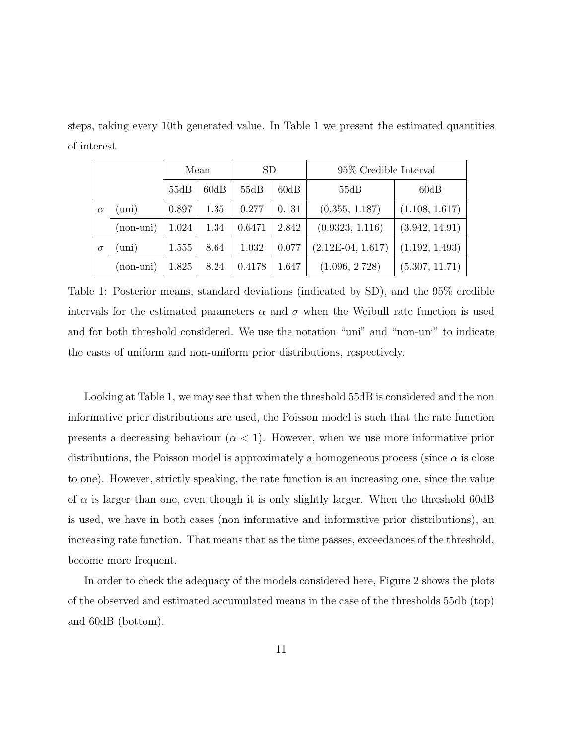steps, taking every 10th generated value. In Table 1 we present the estimated quantities of interest.

|          |              | Mean  |      | <b>SD</b> |       | 95\% Credible Interval |                |
|----------|--------------|-------|------|-----------|-------|------------------------|----------------|
|          |              | 55dB  | 60dB | 55dB      | 60dB  | 55dB                   | 60dB           |
| $\alpha$ | $\text{uni}$ | 0.897 | 1.35 | 0.277     | 0.131 | (0.355, 1.187)         | (1.108, 1.617) |
|          | $(non-uni)$  | 1.024 | 1.34 | 0.6471    | 2.842 | (0.9323, 1.116)        | (3.942, 14.91) |
| $\sigma$ | $\text{uni}$ | 1.555 | 8.64 | 1.032     | 0.077 | $(2.12E-04, 1.617)$    | (1.192, 1.493) |
|          | (non-uni)    | 1.825 | 8.24 | 0.4178    | 1.647 | (1.096, 2.728)         | (5.307, 11.71) |

Table 1: Posterior means, standard deviations (indicated by SD), and the 95% credible intervals for the estimated parameters  $\alpha$  and  $\sigma$  when the Weibull rate function is used and for both threshold considered. We use the notation "uni" and "non-uni" to indicate the cases of uniform and non-uniform prior distributions, respectively.

Looking at Table 1, we may see that when the threshold 55dB is considered and the non informative prior distributions are used, the Poisson model is such that the rate function presents a decreasing behaviour  $(\alpha < 1)$ . However, when we use more informative prior distributions, the Poisson model is approximately a homogeneous process (since  $\alpha$  is close to one). However, strictly speaking, the rate function is an increasing one, since the value of  $\alpha$  is larger than one, even though it is only slightly larger. When the threshold 60dB is used, we have in both cases (non informative and informative prior distributions), an increasing rate function. That means that as the time passes, exceedances of the threshold, become more frequent.

In order to check the adequacy of the models considered here, Figure 2 shows the plots of the observed and estimated accumulated means in the case of the thresholds 55db (top) and 60dB (bottom).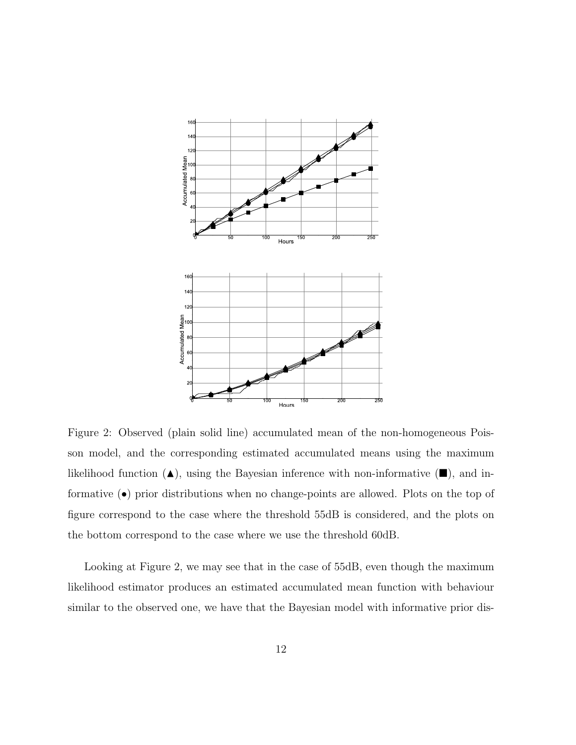

Figure 2: Observed (plain solid line) accumulated mean of the non-homogeneous Poisson model, and the corresponding estimated accumulated means using the maximum likelihood function  $(\triangle)$ , using the Bayesian inference with non-informative  $(\blacksquare)$ , and informative (•) prior distributions when no change-points are allowed. Plots on the top of figure correspond to the case where the threshold 55dB is considered, and the plots on the bottom correspond to the case where we use the threshold 60dB.

Looking at Figure 2, we may see that in the case of 55dB, even though the maximum likelihood estimator produces an estimated accumulated mean function with behaviour similar to the observed one, we have that the Bayesian model with informative prior dis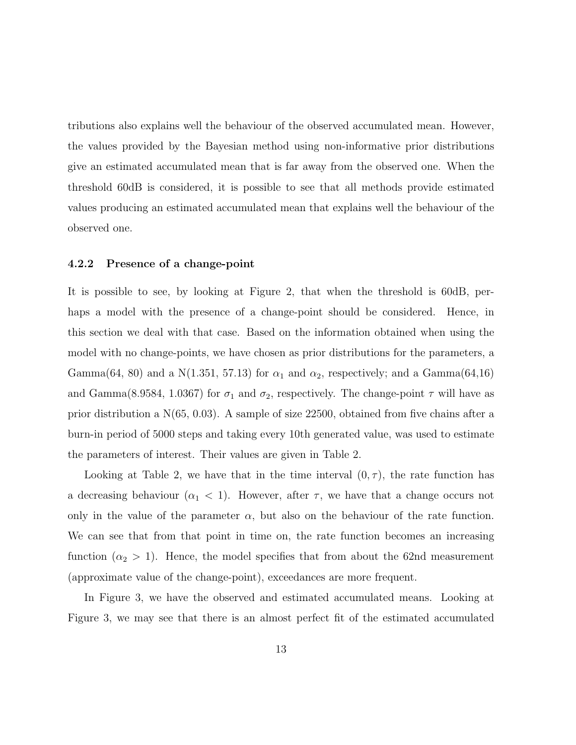tributions also explains well the behaviour of the observed accumulated mean. However, the values provided by the Bayesian method using non-informative prior distributions give an estimated accumulated mean that is far away from the observed one. When the threshold 60dB is considered, it is possible to see that all methods provide estimated values producing an estimated accumulated mean that explains well the behaviour of the observed one.

#### 4.2.2 Presence of a change-point

It is possible to see, by looking at Figure 2, that when the threshold is 60dB, perhaps a model with the presence of a change-point should be considered. Hence, in this section we deal with that case. Based on the information obtained when using the model with no change-points, we have chosen as prior distributions for the parameters, a Gamma(64, 80) and a N(1.351, 57.13) for  $\alpha_1$  and  $\alpha_2$ , respectively; and a Gamma(64,16) and Gamma(8.9584, 1.0367) for  $\sigma_1$  and  $\sigma_2$ , respectively. The change-point  $\tau$  will have as prior distribution a N(65, 0.03). A sample of size 22500, obtained from five chains after a burn-in period of 5000 steps and taking every 10th generated value, was used to estimate the parameters of interest. Their values are given in Table 2.

Looking at Table 2, we have that in the time interval  $(0, \tau)$ , the rate function has a decreasing behaviour  $(\alpha_1 < 1)$ . However, after  $\tau$ , we have that a change occurs not only in the value of the parameter  $\alpha$ , but also on the behaviour of the rate function. We can see that from that point in time on, the rate function becomes an increasing function  $(\alpha_2 > 1)$ . Hence, the model specifies that from about the 62nd measurement (approximate value of the change-point), exceedances are more frequent.

In Figure 3, we have the observed and estimated accumulated means. Looking at Figure 3, we may see that there is an almost perfect fit of the estimated accumulated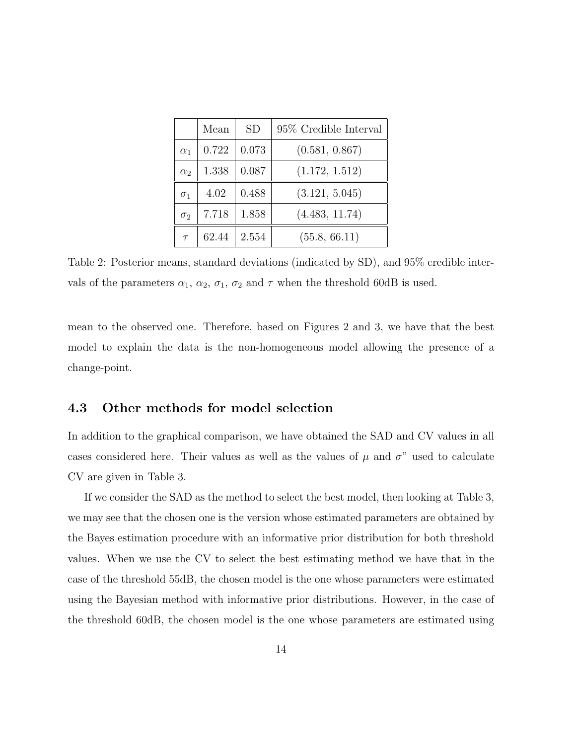|            | Mean  | <b>SD</b> | 95% Credible Interval |
|------------|-------|-----------|-----------------------|
| $\alpha_1$ | 0.722 | 0.073     | (0.581, 0.867)        |
| $\alpha_2$ | 1.338 | 0.087     | (1.172, 1.512)        |
| $\sigma_1$ | 4.02  | 0.488     | (3.121, 5.045)        |
| $\sigma_2$ | 7.718 | 1.858     | (4.483, 11.74)        |
| $\tau$     | 62.44 | 2.554     | (55.8, 66.11)         |

Table 2: Posterior means, standard deviations (indicated by SD), and 95% credible intervals of the parameters  $\alpha_1$ ,  $\alpha_2$ ,  $\sigma_1$ ,  $\sigma_2$  and  $\tau$  when the threshold 60dB is used.

mean to the observed one. Therefore, based on Figures 2 and 3, we have that the best model to explain the data is the non-homogeneous model allowing the presence of a change-point.

### 4.3 Other methods for model selection

In addition to the graphical comparison, we have obtained the SAD and CV values in all cases considered here. Their values as well as the values of  $\mu$  and  $\sigma$ " used to calculate CV are given in Table 3.

If we consider the SAD as the method to select the best model, then looking at Table 3, we may see that the chosen one is the version whose estimated parameters are obtained by the Bayes estimation procedure with an informative prior distribution for both threshold values. When we use the CV to select the best estimating method we have that in the case of the threshold 55dB, the chosen model is the one whose parameters were estimated using the Bayesian method with informative prior distributions. However, in the case of the threshold 60dB, the chosen model is the one whose parameters are estimated using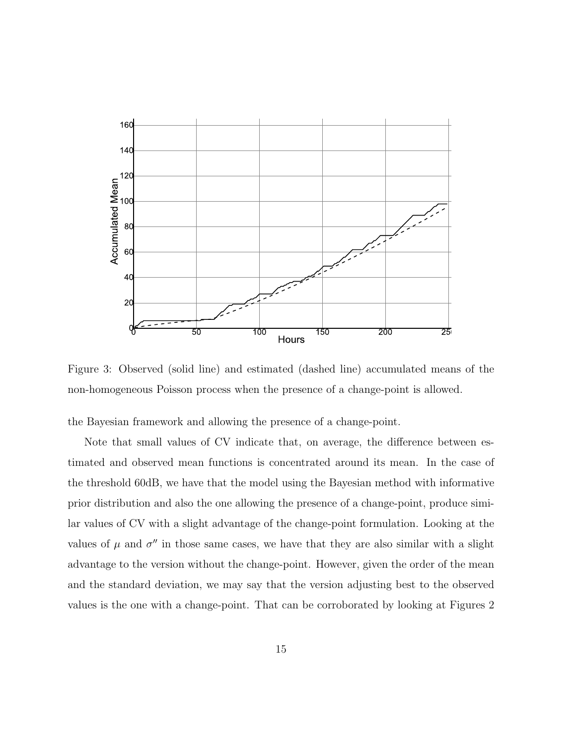

Figure 3: Observed (solid line) and estimated (dashed line) accumulated means of the non-homogeneous Poisson process when the presence of a change-point is allowed.

the Bayesian framework and allowing the presence of a change-point.

Note that small values of CV indicate that, on average, the difference between estimated and observed mean functions is concentrated around its mean. In the case of the threshold 60dB, we have that the model using the Bayesian method with informative prior distribution and also the one allowing the presence of a change-point, produce similar values of CV with a slight advantage of the change-point formulation. Looking at the values of  $\mu$  and  $\sigma''$  in those same cases, we have that they are also similar with a slight advantage to the version without the change-point. However, given the order of the mean and the standard deviation, we may say that the version adjusting best to the observed values is the one with a change-point. That can be corroborated by looking at Figures 2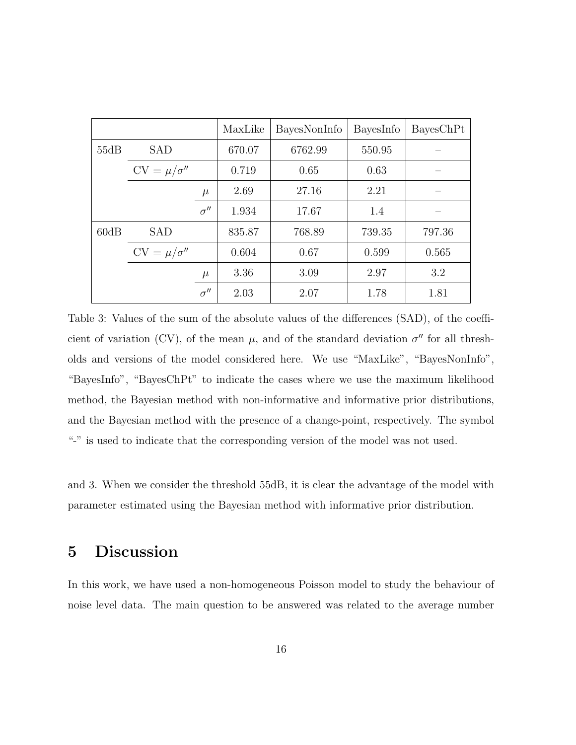|      |                     |                         | MaxLike | BayesNonInfo | BayesInfo | BayesChPt |
|------|---------------------|-------------------------|---------|--------------|-----------|-----------|
| 55dB | <b>SAD</b>          |                         | 670.07  | 6762.99      | 550.95    |           |
|      | $CV = \mu/\sigma''$ |                         | 0.719   | 0.65         | 0.63      |           |
|      |                     | $\mu$                   | 2.69    | 27.16        | 2.21      |           |
|      |                     | $\sigma^{\prime\prime}$ | 1.934   | 17.67        | 1.4       |           |
| 60dB | <b>SAD</b>          |                         | 835.87  | 768.89       | 739.35    | 797.36    |
|      | $CV = \mu/\sigma''$ |                         | 0.604   | 0.67         | 0.599     | 0.565     |
|      |                     | $\mu$                   | 3.36    | 3.09         | 2.97      | 3.2       |
|      |                     | $\sigma''$              | 2.03    | 2.07         | 1.78      | 1.81      |

Table 3: Values of the sum of the absolute values of the differences (SAD), of the coefficient of variation (CV), of the mean  $\mu$ , and of the standard deviation  $\sigma''$  for all thresholds and versions of the model considered here. We use "MaxLike", "BayesNonInfo", "BayesInfo", "BayesChPt" to indicate the cases where we use the maximum likelihood method, the Bayesian method with non-informative and informative prior distributions, and the Bayesian method with the presence of a change-point, respectively. The symbol "-" is used to indicate that the corresponding version of the model was not used.

and 3. When we consider the threshold 55dB, it is clear the advantage of the model with parameter estimated using the Bayesian method with informative prior distribution.

# 5 Discussion

In this work, we have used a non-homogeneous Poisson model to study the behaviour of noise level data. The main question to be answered was related to the average number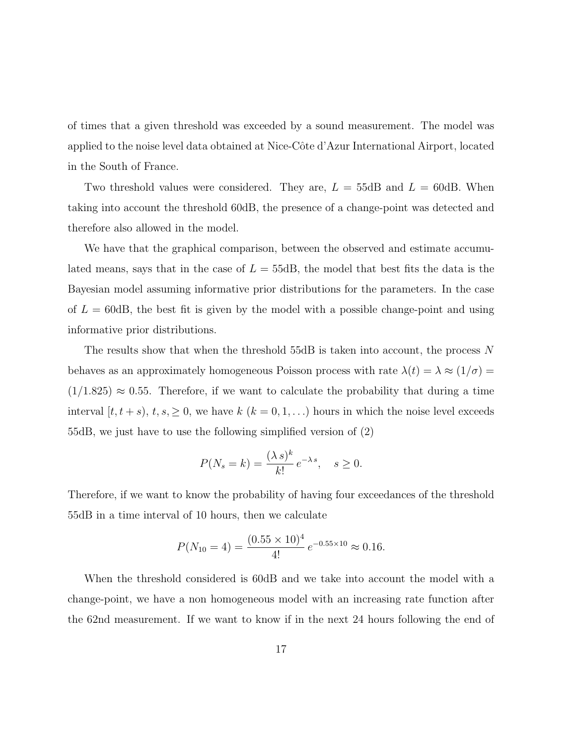of times that a given threshold was exceeded by a sound measurement. The model was applied to the noise level data obtained at Nice-Côte d'Azur International Airport, located in the South of France.

Two threshold values were considered. They are,  $L = 55dB$  and  $L = 60dB$ . When taking into account the threshold 60dB, the presence of a change-point was detected and therefore also allowed in the model.

We have that the graphical comparison, between the observed and estimate accumulated means, says that in the case of  $L = 55dB$ , the model that best fits the data is the Bayesian model assuming informative prior distributions for the parameters. In the case of  $L = 60$ dB, the best fit is given by the model with a possible change-point and using informative prior distributions.

The results show that when the threshold 55dB is taken into account, the process N behaves as an approximately homogeneous Poisson process with rate  $\lambda(t) = \lambda \approx (1/\sigma)$  $(1/1.825) \approx 0.55$ . Therefore, if we want to calculate the probability that during a time interval  $[t, t + s)$ ,  $t, s, \ge 0$ , we have  $k$   $(k = 0, 1, ...)$  hours in which the noise level exceeds 55dB, we just have to use the following simplified version of (2)

$$
P(N_s = k) = \frac{(\lambda s)^k}{k!} e^{-\lambda s}, \quad s \ge 0.
$$

Therefore, if we want to know the probability of having four exceedances of the threshold 55dB in a time interval of 10 hours, then we calculate

$$
P(N_{10} = 4) = \frac{(0.55 \times 10)^4}{4!} e^{-0.55 \times 10} \approx 0.16.
$$

When the threshold considered is 60dB and we take into account the model with a change-point, we have a non homogeneous model with an increasing rate function after the 62nd measurement. If we want to know if in the next 24 hours following the end of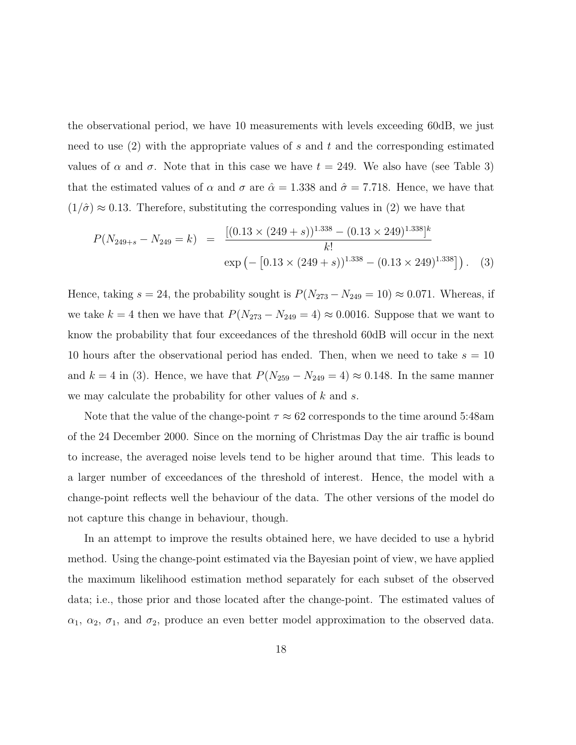the observational period, we have 10 measurements with levels exceeding 60dB, we just need to use  $(2)$  with the appropriate values of s and t and the corresponding estimated values of  $\alpha$  and  $\sigma$ . Note that in this case we have  $t = 249$ . We also have (see Table 3) that the estimated values of  $\alpha$  and  $\sigma$  are  $\hat{\alpha} = 1.338$  and  $\hat{\sigma} = 7.718$ . Hence, we have that  $(1/\hat{\sigma}) \approx 0.13$ . Therefore, substituting the corresponding values in (2) we have that

$$
P(N_{249+s} - N_{249} = k) = \frac{[(0.13 \times (249+s))^{1.338} - (0.13 \times 249)^{1.338}]^{k}}{k!}
$$
  
exp $(-[0.13 \times (249+s))^{1.338} - (0.13 \times 249)^{1.338}])$ . (3)

Hence, taking  $s = 24$ , the probability sought is  $P(N_{273} - N_{249} = 10) \approx 0.071$ . Whereas, if we take  $k = 4$  then we have that  $P(N_{273} - N_{249} = 4) \approx 0.0016$ . Suppose that we want to know the probability that four exceedances of the threshold 60dB will occur in the next 10 hours after the observational period has ended. Then, when we need to take  $s = 10$ and  $k = 4$  in (3). Hence, we have that  $P(N_{259} - N_{249} = 4) \approx 0.148$ . In the same manner we may calculate the probability for other values of  $k$  and  $s$ .

Note that the value of the change-point  $\tau \approx 62$  corresponds to the time around 5:48am of the 24 December 2000. Since on the morning of Christmas Day the air traffic is bound to increase, the averaged noise levels tend to be higher around that time. This leads to a larger number of exceedances of the threshold of interest. Hence, the model with a change-point reflects well the behaviour of the data. The other versions of the model do not capture this change in behaviour, though.

In an attempt to improve the results obtained here, we have decided to use a hybrid method. Using the change-point estimated via the Bayesian point of view, we have applied the maximum likelihood estimation method separately for each subset of the observed data; i.e., those prior and those located after the change-point. The estimated values of  $\alpha_1, \alpha_2, \sigma_1$ , and  $\sigma_2$ , produce an even better model approximation to the observed data.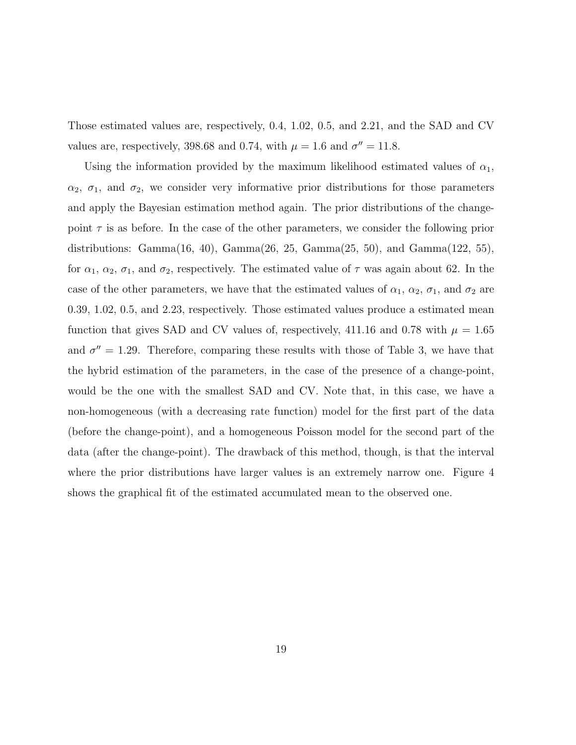Those estimated values are, respectively, 0.4, 1.02, 0.5, and 2.21, and the SAD and CV values are, respectively, 398.68 and 0.74, with  $\mu = 1.6$  and  $\sigma'' = 11.8$ .

Using the information provided by the maximum likelihood estimated values of  $\alpha_1$ ,  $\alpha_2$ ,  $\sigma_1$ , and  $\sigma_2$ , we consider very informative prior distributions for those parameters and apply the Bayesian estimation method again. The prior distributions of the changepoint  $\tau$  is as before. In the case of the other parameters, we consider the following prior distributions: Gamma(16, 40), Gamma(26, 25, Gamma(25, 50), and Gamma(122, 55), for  $\alpha_1, \alpha_2, \sigma_1$ , and  $\sigma_2$ , respectively. The estimated value of  $\tau$  was again about 62. In the case of the other parameters, we have that the estimated values of  $\alpha_1$ ,  $\alpha_2$ ,  $\sigma_1$ , and  $\sigma_2$  are 0.39, 1.02, 0.5, and 2.23, respectively. Those estimated values produce a estimated mean function that gives SAD and CV values of, respectively, 411.16 and 0.78 with  $\mu = 1.65$ and  $\sigma'' = 1.29$ . Therefore, comparing these results with those of Table 3, we have that the hybrid estimation of the parameters, in the case of the presence of a change-point, would be the one with the smallest SAD and CV. Note that, in this case, we have a non-homogeneous (with a decreasing rate function) model for the first part of the data (before the change-point), and a homogeneous Poisson model for the second part of the data (after the change-point). The drawback of this method, though, is that the interval where the prior distributions have larger values is an extremely narrow one. Figure 4 shows the graphical fit of the estimated accumulated mean to the observed one.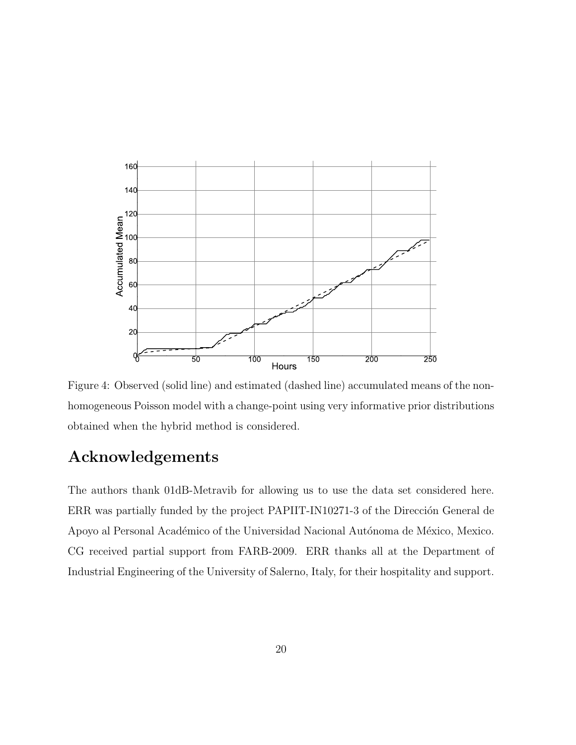

Figure 4: Observed (solid line) and estimated (dashed line) accumulated means of the nonhomogeneous Poisson model with a change-point using very informative prior distributions obtained when the hybrid method is considered.

# Acknowledgements

The authors thank 01dB-Metravib for allowing us to use the data set considered here. ERR was partially funded by the project PAPIIT-IN10271-3 of the Dirección General de Apoyo al Personal Académico of the Universidad Nacional Autónoma de México, Mexico. CG received partial support from FARB-2009. ERR thanks all at the Department of Industrial Engineering of the University of Salerno, Italy, for their hospitality and support.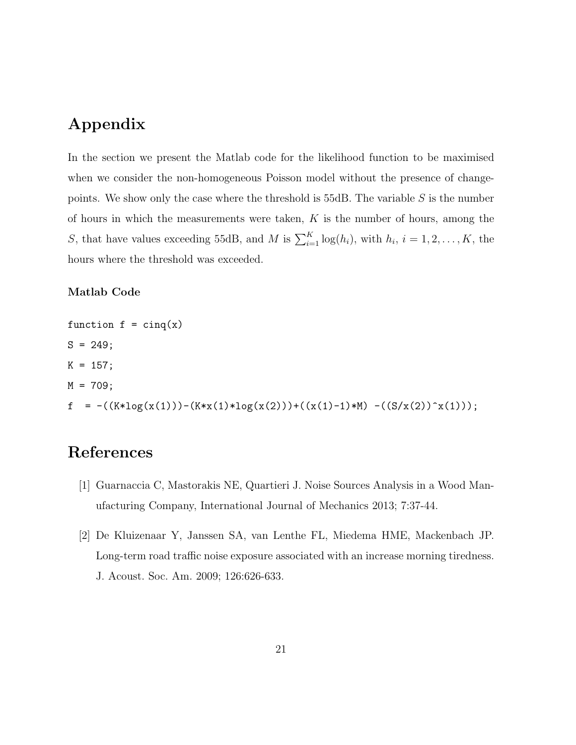## Appendix

In the section we present the Matlab code for the likelihood function to be maximised when we consider the non-homogeneous Poisson model without the presence of changepoints. We show only the case where the threshold is  $55dB$ . The variable S is the number of hours in which the measurements were taken,  $K$  is the number of hours, among the S, that have values exceeding 55dB, and M is  $\sum_{i=1}^{K} \log(h_i)$ , with  $h_i$ ,  $i = 1, 2, ..., K$ , the hours where the threshold was exceeded.

#### Matlab Code

function  $f = \text{cing}(x)$  $S = 249;$  $K = 157;$  $M = 709;$  $f = -((K * log(x(1))) - (K * x(1) * log(x(2))) + ((x(1) - 1) * M) - ((S/x(2))^x(x(1))));$ 

# References

- [1] Guarnaccia C, Mastorakis NE, Quartieri J. Noise Sources Analysis in a Wood Manufacturing Company, International Journal of Mechanics 2013; 7:37-44.
- [2] De Kluizenaar Y, Janssen SA, van Lenthe FL, Miedema HME, Mackenbach JP. Long-term road traffic noise exposure associated with an increase morning tiredness. J. Acoust. Soc. Am. 2009; 126:626-633.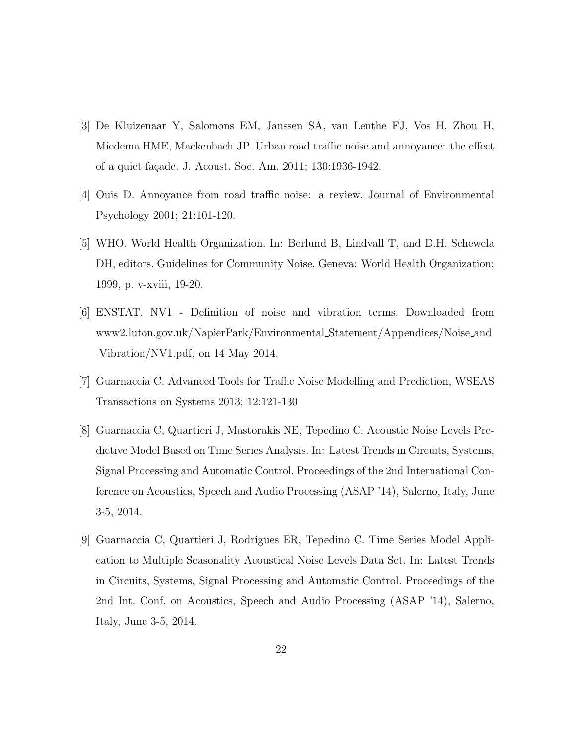- [3] De Kluizenaar Y, Salomons EM, Janssen SA, van Lenthe FJ, Vos H, Zhou H, Miedema HME, Mackenbach JP. Urban road traffic noise and annoyance: the effect of a quiet façade. J. Acoust. Soc. Am. 2011; 130:1936-1942.
- [4] Ouis D. Annoyance from road traffic noise: a review. Journal of Environmental Psychology 2001; 21:101-120.
- [5] WHO. World Health Organization. In: Berlund B, Lindvall T, and D.H. Schewela DH, editors. Guidelines for Community Noise. Geneva: World Health Organization; 1999, p. v-xviii, 19-20.
- [6] ENSTAT. NV1 Definition of noise and vibration terms. Downloaded from www2.luton.gov.uk/NapierPark/Environmental Statement/Appendices/Noise and Vibration/NV1.pdf, on 14 May 2014.
- [7] Guarnaccia C. Advanced Tools for Traffic Noise Modelling and Prediction, WSEAS Transactions on Systems 2013; 12:121-130
- [8] Guarnaccia C, Quartieri J, Mastorakis NE, Tepedino C. Acoustic Noise Levels Predictive Model Based on Time Series Analysis. In: Latest Trends in Circuits, Systems, Signal Processing and Automatic Control. Proceedings of the 2nd International Conference on Acoustics, Speech and Audio Processing (ASAP '14), Salerno, Italy, June 3-5, 2014.
- [9] Guarnaccia C, Quartieri J, Rodrigues ER, Tepedino C. Time Series Model Application to Multiple Seasonality Acoustical Noise Levels Data Set. In: Latest Trends in Circuits, Systems, Signal Processing and Automatic Control. Proceedings of the 2nd Int. Conf. on Acoustics, Speech and Audio Processing (ASAP '14), Salerno, Italy, June 3-5, 2014.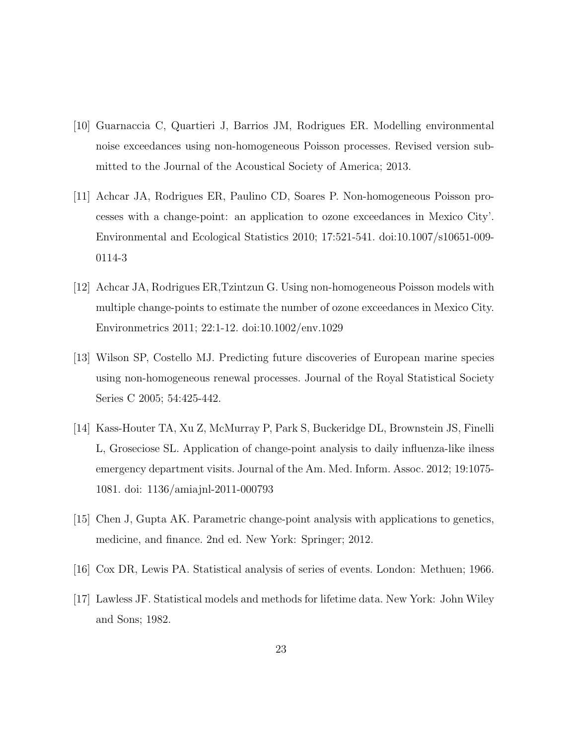- [10] Guarnaccia C, Quartieri J, Barrios JM, Rodrigues ER. Modelling environmental noise exceedances using non-homogeneous Poisson processes. Revised version submitted to the Journal of the Acoustical Society of America; 2013.
- [11] Achcar JA, Rodrigues ER, Paulino CD, Soares P. Non-homogeneous Poisson processes with a change-point: an application to ozone exceedances in Mexico City'. Environmental and Ecological Statistics 2010; 17:521-541. doi:10.1007/s10651-009- 0114-3
- [12] Achcar JA, Rodrigues ER,Tzintzun G. Using non-homogeneous Poisson models with multiple change-points to estimate the number of ozone exceedances in Mexico City. Environmetrics 2011; 22:1-12. doi:10.1002/env.1029
- [13] Wilson SP, Costello MJ. Predicting future discoveries of European marine species using non-homogeneous renewal processes. Journal of the Royal Statistical Society Series C 2005; 54:425-442.
- [14] Kass-Houter TA, Xu Z, McMurray P, Park S, Buckeridge DL, Brownstein JS, Finelli L, Groseciose SL. Application of change-point analysis to daily influenza-like ilness emergency department visits. Journal of the Am. Med. Inform. Assoc. 2012; 19:1075- 1081. doi: 1136/amiajnl-2011-000793
- [15] Chen J, Gupta AK. Parametric change-point analysis with applications to genetics, medicine, and finance. 2nd ed. New York: Springer; 2012.
- [16] Cox DR, Lewis PA. Statistical analysis of series of events. London: Methuen; 1966.
- [17] Lawless JF. Statistical models and methods for lifetime data. New York: John Wiley and Sons; 1982.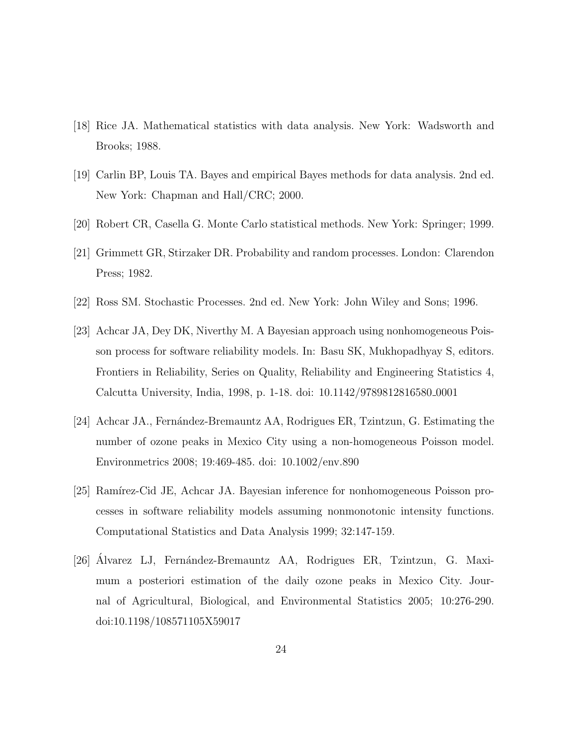- [18] Rice JA. Mathematical statistics with data analysis. New York: Wadsworth and Brooks; 1988.
- [19] Carlin BP, Louis TA. Bayes and empirical Bayes methods for data analysis. 2nd ed. New York: Chapman and Hall/CRC; 2000.
- [20] Robert CR, Casella G. Monte Carlo statistical methods. New York: Springer; 1999.
- [21] Grimmett GR, Stirzaker DR. Probability and random processes. London: Clarendon Press; 1982.
- [22] Ross SM. Stochastic Processes. 2nd ed. New York: John Wiley and Sons; 1996.
- [23] Achcar JA, Dey DK, Niverthy M. A Bayesian approach using nonhomogeneous Poisson process for software reliability models. In: Basu SK, Mukhopadhyay S, editors. Frontiers in Reliability, Series on Quality, Reliability and Engineering Statistics 4, Calcutta University, India, 1998, p. 1-18. doi: 10.1142/9789812816580 0001
- [24] Achcar JA., Fernández-Bremauntz AA, Rodrigues ER, Tzintzun, G. Estimating the number of ozone peaks in Mexico City using a non-homogeneous Poisson model. Environmetrics 2008; 19:469-485. doi: 10.1002/env.890
- [25] Ramírez-Cid JE, Achcar JA. Bayesian inference for nonhomogeneous Poisson processes in software reliability models assuming nonmonotonic intensity functions. Computational Statistics and Data Analysis 1999; 32:147-159.
- [26] Alvarez LJ, Fernández-Bremauntz AA, Rodrigues ER, Tzintzun, G. Maximum a posteriori estimation of the daily ozone peaks in Mexico City. Journal of Agricultural, Biological, and Environmental Statistics 2005; 10:276-290. doi:10.1198/108571105X59017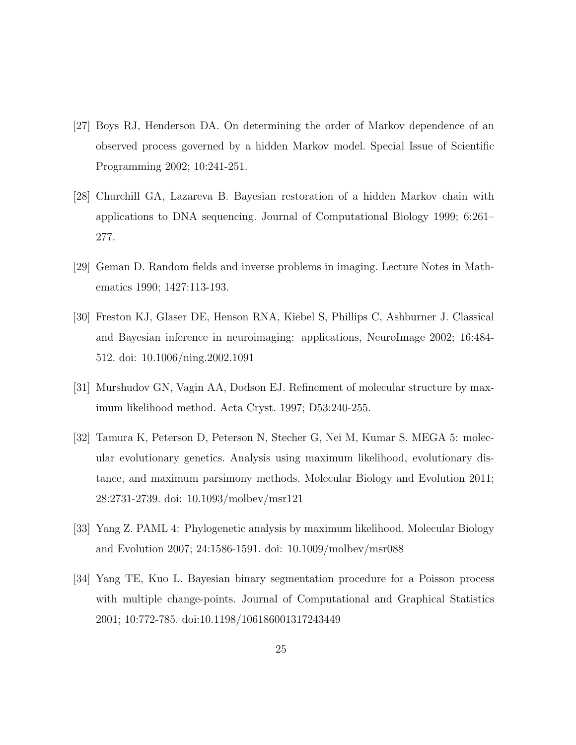- [27] Boys RJ, Henderson DA. On determining the order of Markov dependence of an observed process governed by a hidden Markov model. Special Issue of Scientific Programming 2002; 10:241-251.
- [28] Churchill GA, Lazareva B. Bayesian restoration of a hidden Markov chain with applications to DNA sequencing. Journal of Computational Biology 1999; 6:261– 277.
- [29] Geman D. Random fields and inverse problems in imaging. Lecture Notes in Mathematics 1990; 1427:113-193.
- [30] Freston KJ, Glaser DE, Henson RNA, Kiebel S, Phillips C, Ashburner J. Classical and Bayesian inference in neuroimaging: applications, NeuroImage 2002; 16:484- 512. doi: 10.1006/ning.2002.1091
- [31] Murshudov GN, Vagin AA, Dodson EJ. Refinement of molecular structure by maximum likelihood method. Acta Cryst. 1997; D53:240-255.
- [32] Tamura K, Peterson D, Peterson N, Stecher G, Nei M, Kumar S. MEGA 5: molecular evolutionary genetics. Analysis using maximum likelihood, evolutionary distance, and maximum parsimony methods. Molecular Biology and Evolution 2011; 28:2731-2739. doi: 10.1093/molbev/msr121
- [33] Yang Z. PAML 4: Phylogenetic analysis by maximum likelihood. Molecular Biology and Evolution 2007; 24:1586-1591. doi: 10.1009/molbev/msr088
- [34] Yang TE, Kuo L. Bayesian binary segmentation procedure for a Poisson process with multiple change-points. Journal of Computational and Graphical Statistics 2001; 10:772-785. doi:10.1198/106186001317243449